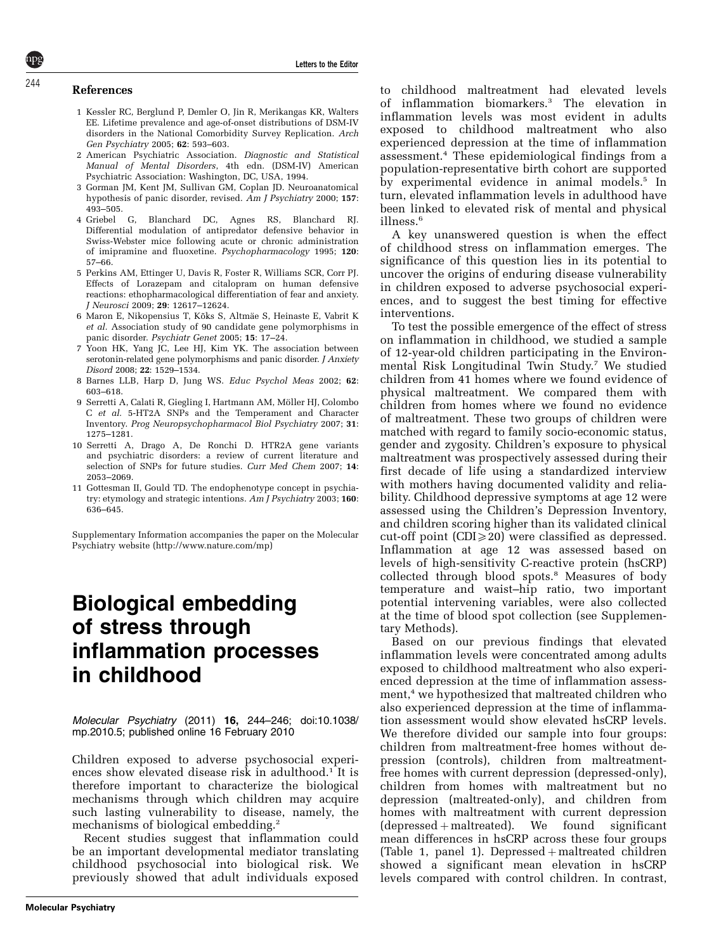#### References

- 1 Kessler RC, Berglund P, Demler O, Jin R, Merikangas KR, Walters EE. Lifetime prevalence and age-of-onset distributions of DSM-IV disorders in the National Comorbidity Survey Replication. Arch Gen Psychiatry 2005; 62: 593–603.
- 2 American Psychiatric Association. Diagnostic and Statistical Manual of Mental Disorders, 4th edn. (DSM-IV) American Psychiatric Association: Washington, DC, USA, 1994.
- 3 Gorman JM, Kent JM, Sullivan GM, Coplan JD. Neuroanatomical hypothesis of panic disorder, revised. Am J Psychiatry 2000; 157: 493–505.
- 4 Griebel G, Blanchard DC, Agnes RS, Blanchard RJ. Differential modulation of antipredator defensive behavior in Swiss-Webster mice following acute or chronic administration of imipramine and fluoxetine. Psychopharmacology 1995; 120: 57–66.
- 5 Perkins AM, Ettinger U, Davis R, Foster R, Williams SCR, Corr PJ. Effects of Lorazepam and citalopram on human defensive reactions: ethopharmacological differentiation of fear and anxiety. J Neurosci 2009; 29: 12617–12624.
- 6 Maron E, Nikopensius T, Kõks S, Altmäe S, Heinaste E, Vabrit K et al. Association study of 90 candidate gene polymorphisms in panic disorder. Psychiatr Genet 2005; 15: 17–24.
- 7 Yoon HK, Yang JC, Lee HJ, Kim YK. The association between serotonin-related gene polymorphisms and panic disorder. J Anxiety Disord 2008; 22: 1529–1534.
- 8 Barnes LLB, Harp D, Jung WS. Educ Psychol Meas 2002; 62: 603–618.
- 9 Serretti A, Calati R, Giegling I, Hartmann AM, Möller HJ, Colombo C et al. 5-HT2A SNPs and the Temperament and Character Inventory. Prog Neuropsychopharmacol Biol Psychiatry 2007; 31: 1275–1281.
- 10 Serretti A, Drago A, De Ronchi D. HTR2A gene variants and psychiatric disorders: a review of current literature and selection of SNPs for future studies. Curr Med Chem 2007; 14: 2053–2069.
- 11 Gottesman II, Gould TD. The endophenotype concept in psychiatry: etymology and strategic intentions.  $Am\,J\,Psychiatry$  2003;  ${\bf 160}$ 636–645.

Supplementary Information accompanies the paper on the Molecular Psychiatry website (http://www.nature.com/mp)

## Biological embedding of stress through inflammation processes in childhood

Molecular Psychiatry (2011) 16, 244–246; doi:10.1038/ mp.2010.5; published online 16 February 2010

Children exposed to adverse psychosocial experiences show elevated disease risk in adulthood.<sup>1</sup> It is therefore important to characterize the biological mechanisms through which children may acquire such lasting vulnerability to disease, namely, the mechanisms of biological embedding.<sup>2</sup>

Recent studies suggest that inflammation could be an important developmental mediator translating childhood psychosocial into biological risk. We previously showed that adult individuals exposed to childhood maltreatment had elevated levels of inflammation biomarkers.3 The elevation in inflammation levels was most evident in adults exposed to childhood maltreatment who also experienced depression at the time of inflammation assessment.<sup>4</sup> These epidemiological findings from a population-representative birth cohort are supported by experimental evidence in animal models.<sup>5</sup> In turn, elevated inflammation levels in adulthood have been linked to elevated risk of mental and physical illness.<sup>6</sup>

A key unanswered question is when the effect of childhood stress on inflammation emerges. The significance of this question lies in its potential to uncover the origins of enduring disease vulnerability in children exposed to adverse psychosocial experiences, and to suggest the best timing for effective interventions.

To test the possible emergence of the effect of stress on inflammation in childhood, we studied a sample of 12-year-old children participating in the Environmental Risk Longitudinal Twin Study.7 We studied children from 41 homes where we found evidence of physical maltreatment. We compared them with children from homes where we found no evidence of maltreatment. These two groups of children were matched with regard to family socio-economic status, gender and zygosity. Children's exposure to physical maltreatment was prospectively assessed during their first decade of life using a standardized interview with mothers having documented validity and reliability. Childhood depressive symptoms at age 12 were assessed using the Children's Depression Inventory, and children scoring higher than its validated clinical cut-off point (CDI $\geq$ 20) were classified as depressed. Inflammation at age 12 was assessed based on levels of high-sensitivity C-reactive protein (hsCRP) collected through blood spots.<sup>8</sup> Measures of body temperature and waist–hip ratio, two important potential intervening variables, were also collected at the time of blood spot collection (see Supplementary Methods).

Based on our previous findings that elevated inflammation levels were concentrated among adults exposed to childhood maltreatment who also experienced depression at the time of inflammation assessment,<sup>4</sup> we hypothesized that maltreated children who also experienced depression at the time of inflammation assessment would show elevated hsCRP levels. We therefore divided our sample into four groups: children from maltreatment-free homes without depression (controls), children from maltreatmentfree homes with current depression (depressed-only), children from homes with maltreatment but no depression (maltreated-only), and children from homes with maltreatment with current depression  $(depressed + maltreated)$ . We found significant mean differences in hsCRP across these four groups (Table 1, panel 1). Depressed  $+$  maltreated children showed a significant mean elevation in hsCRP levels compared with control children. In contrast,

# 244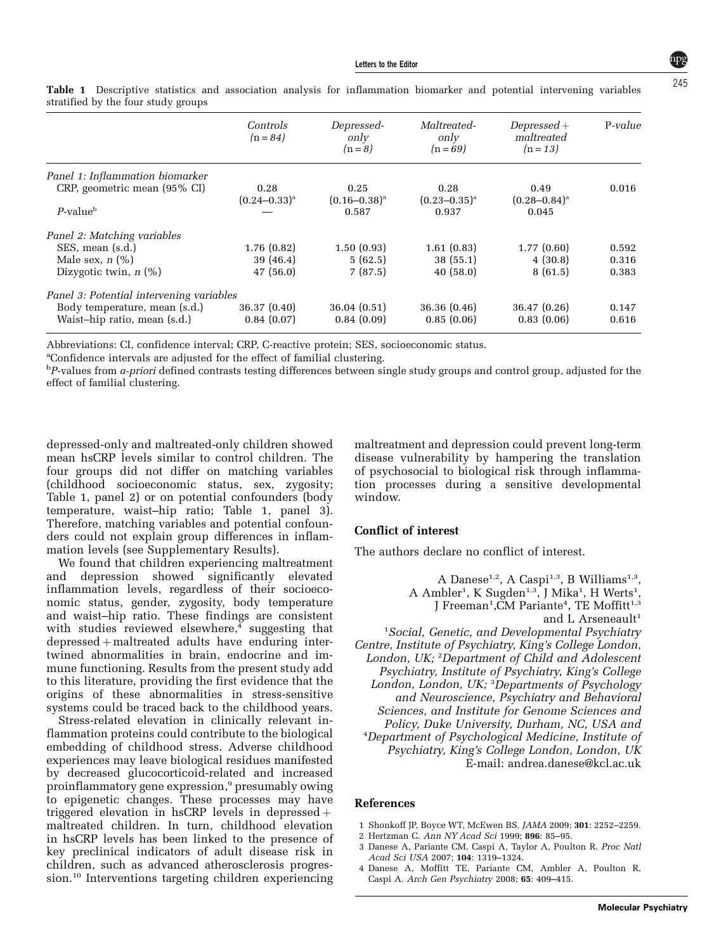|                                          | Controls<br>$(n = 84)$    | Depressed-<br>only<br>$(n=8)$ | Maltreated-<br>only<br>$(n = 69)$ | $Depressed+$<br>maltreated<br>$(n = 13)$ | P-value |
|------------------------------------------|---------------------------|-------------------------------|-----------------------------------|------------------------------------------|---------|
| Panel 1: Inflammation biomarker          |                           |                               |                                   |                                          |         |
| CRP, geometric mean (95% CI)             | 0.28<br>$(0.24 - 0.33)^a$ | 0.25<br>$(0.16 - 0.38)^a$     | 0.28<br>$(0.23 - 0.35)^a$         | 0.49<br>$(0.28 - 0.84)^a$                | 0.016   |
| $P$ -value <sup>b</sup>                  |                           | 0.587                         | 0.937                             | 0.045                                    |         |
| Panel 2: Matching variables              |                           |                               |                                   |                                          |         |
| SES, mean (s.d.)                         | 1.76(0.82)                | 1.50(0.93)                    | 1.61(0.83)                        | 1.77(0.60)                               | 0.592   |
| Male sex, $n$ $\left(\% \right)$         | 39 (46.4)                 | 5(62.5)                       | 38(55.1)                          | 4(30.8)                                  | 0.316   |
| Dizygotic twin, $n$ (%)                  | 47(56.0)                  | 7(87.5)                       | 40(58.0)                          | 8(61.5)                                  | 0.383   |
| Panel 3: Potential intervening variables |                           |                               |                                   |                                          |         |
| Body temperature, mean (s.d.)            | 36.37(0.40)               | 36.04(0.51)                   | 36.36(0.46)                       | 36.47(0.26)                              | 0.147   |
| Waist-hip ratio, mean (s.d.)             | 0.84(0.07)                | 0.84(0.09)                    | 0.85(0.06)                        | 0.83(0.06)                               | 0.616   |

Table 1 Descriptive statistics and association analysis for inflammation biomarker and potential intervening variables stratified by the four study groups

Abbreviations: CI, confidence interval; CRP, C-reactive protein; SES, socioeconomic status.

<sup>a</sup>Confidence intervals are adjusted for the effect of familial clustering.

 $^{\rm b}$ P-values from *a-priori* defined contrasts testing differences between single study groups and control group, adjusted for the effect of familial clustering.

depressed-only and maltreated-only children showed mean hsCRP levels similar to control children. The four groups did not differ on matching variables (childhood socioeconomic status, sex, zygosity; Table 1, panel 2) or on potential confounders (body temperature, waist–hip ratio; Table 1, panel 3). Therefore, matching variables and potential confounders could not explain group differences in inflammation levels (see Supplementary Results).

We found that children experiencing maltreatment and depression showed significantly elevated inflammation levels, regardless of their socioeconomic status, gender, zygosity, body temperature and waist–hip ratio. These findings are consistent with studies reviewed elsewhere,<sup>4</sup> suggesting that  $depressed + maltreated$  adults have enduring intertwined abnormalities in brain, endocrine and immune functioning. Results from the present study add to this literature, providing the first evidence that the origins of these abnormalities in stress-sensitive systems could be traced back to the childhood years.

Stress-related elevation in clinically relevant inflammation proteins could contribute to the biological embedding of childhood stress. Adverse childhood experiences may leave biological residues manifested by decreased glucocorticoid-related and increased proinflammatory gene expression,<sup>9</sup> presumably owing to epigenetic changes. These processes may have triggered elevation in hsCRP levels in depressed  $+$ maltreated children. In turn, childhood elevation in hsCRP levels has been linked to the presence of key preclinical indicators of adult disease risk in children, such as advanced atherosclerosis progression.<sup>10</sup> Interventions targeting children experiencing maltreatment and depression could prevent long-term disease vulnerability by hampering the translation of psychosocial to biological risk through inflammation processes during a sensitive developmental window.

### Conflict of interest

The authors declare no conflict of interest.

A Danese<sup>1,2</sup>, A Caspi<sup>1,3</sup>, B Williams<sup>1,3</sup>, A Ambler<sup>1</sup>, K Sugden<sup>1,3</sup>, J Mika<sup>1</sup>, H Werts<sup>1</sup>, J Freeman<sup>1</sup>, CM Pariante<sup>4</sup>, TE Moffitt<sup>1,3</sup> and L Arseneault<sup>1</sup> <sup>1</sup>Social, Genetic, and Developmental Psychiatry Centre, Institute of Psychiatry, King's College London, London, UK; <sup>2</sup>Department of Child and Adolescent Psychiatry, Institute of Psychiatry, King's College London, London, UK; <sup>3</sup>Departments of Psychology and Neuroscience, Psychiatry and Behavioral Sciences, and Institute for Genome Sciences and Policy, Duke University, Durham, NC, USA and <sup>4</sup> Department of Psychological Medicine, Institute of Psychiatry, King's College London, London, UK E-mail: andrea.danese@kcl.ac.uk

### References

- 1 Shonkoff JP, Boyce WT, McEwen BS. JAMA 2009; 301: 2252–2259.
- 2 Hertzman C. Ann NY Acad Sci 1999; 896: 85–95.
- 3 Danese A, Pariante CM, Caspi A, Taylor A, Poulton R. Proc Natl Acad Sci USA 2007; 104: 1319–1324.
- 4 Danese A, Moffitt TE, Pariante CM, Ambler A, Poulton R, Caspi A. Arch Gen Psychiatry 2008; 65: 409–415.